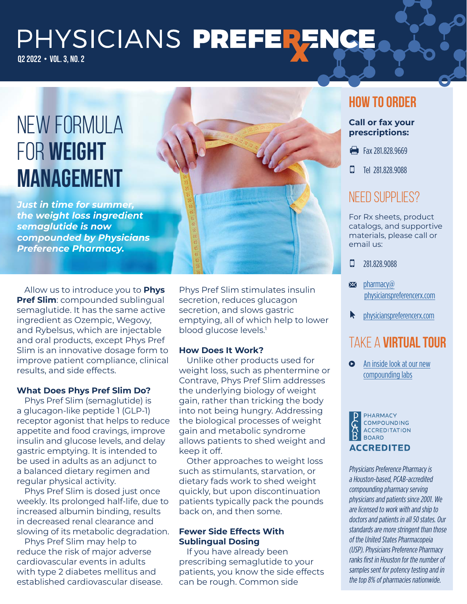# PHYSICIANS PREFERENCE Q2 2022 • VOL. 3, NO. 2

# NEW FORMULA FOR WEIGHT MANAGEMENT

*Just in time for summer, the weight loss ingredient semaglutide is now compounded by Physicians Preference Pharmacy.* 



Allow us to introduce you to **Phys Pref Slim**: compounded sublingual semaglutide. It has the same active ingredient as Ozempic, Wegovy, and Rybelsus, which are injectable and oral products, except Phys Pref Slim is an innovative dosage form to improve patient compliance, clinical results, and side effects.

### **What Does Phys Pref Slim Do?**

Phys Pref Slim (semaglutide) is a glucagon-like peptide 1 (GLP-1) receptor agonist that helps to reduce appetite and food cravings, improve insulin and glucose levels, and delay gastric emptying. It is intended to be used in adults as an adjunct to a balanced dietary regimen and regular physical activity.

Phys Pref Slim is dosed just once weekly. Its prolonged half-life, due to increased albumin binding, results in decreased renal clearance and slowing of its metabolic degradation.

Phys Pref Slim may help to reduce the risk of major adverse cardiovascular events in adults with type 2 diabetes mellitus and established cardiovascular disease. Phys Pref Slim stimulates insulin secretion, reduces glucagon secretion, and slows gastric emptying, all of which help to lower blood glucose levels.<sup>1</sup>

### **How Does It Work?**

Unlike other products used for weight loss, such as phentermine or Contrave, Phys Pref Slim addresses the underlying biology of weight gain, rather than tricking the body into not being hungry. Addressing the biological processes of weight gain and metabolic syndrome allows patients to shed weight and keep it off.

Other approaches to weight loss such as stimulants, starvation, or dietary fads work to shed weight quickly, but upon discontinuation patients typically pack the pounds back on, and then some.

### **Fewer Side Effects With Sublingual Dosing**

If you have already been prescribing semaglutide to your patients, you know the side effects can be rough. Common side

### **How to Order**

#### **Call or fax your prescriptions:**

- Fax 281,828,9669
- **D** Tel 281,828,9088

### NEED SUPPLIES?

For Rx sheets, product catalogs, and supportive materials, please call or email us:

 $\Box$  281.828.9088

- $\blacktriangleright$  pharmacy $\omega$ [physicianspreferencerx.com](mailto:pharmacy@physicianspreferencerx.com)
- **N** [physicianspreferencerx.com](https://physicianspreferencerx.com/)

## Take a **virtual tour**

**O** [An inside look at our new](https://www.youtube.com/watch?v=c1TMFQ_Y6Q4) [compounding labs](https://www.youtube.com/watch?v=c1TMFQ_Y6Q4)



Physicians Preference Pharmacy is a Houston-based, PCAB-accredited compounding pharmacy serving physicians and patients since 2001. We are licensed to work with and ship to doctors and patients in all 50 states. Our standards are more stringent than those of the United States Pharmacopeia (USP). Physicians Preference Pharmacy ranks first in Houston for the number of samples sent for potency testing and in the top 8% of pharmacies nationwide.